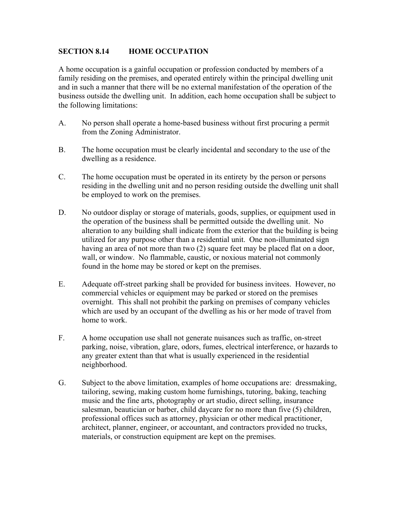## **SECTION 8.14 HOME OCCUPATION**

A home occupation is a gainful occupation or profession conducted by members of a family residing on the premises, and operated entirely within the principal dwelling unit and in such a manner that there will be no external manifestation of the operation of the business outside the dwelling unit. In addition, each home occupation shall be subject to the following limitations:

- A. No person shall operate a home-based business without first procuring a permit from the Zoning Administrator.
- B. The home occupation must be clearly incidental and secondary to the use of the dwelling as a residence.
- C. The home occupation must be operated in its entirety by the person or persons residing in the dwelling unit and no person residing outside the dwelling unit shall be employed to work on the premises.
- D. No outdoor display or storage of materials, goods, supplies, or equipment used in the operation of the business shall be permitted outside the dwelling unit. No alteration to any building shall indicate from the exterior that the building is being utilized for any purpose other than a residential unit. One non-illuminated sign having an area of not more than two (2) square feet may be placed flat on a door, wall, or window. No flammable, caustic, or noxious material not commonly found in the home may be stored or kept on the premises.
- E. Adequate off-street parking shall be provided for business invitees. However, no commercial vehicles or equipment may be parked or stored on the premises overnight. This shall not prohibit the parking on premises of company vehicles which are used by an occupant of the dwelling as his or her mode of travel from home to work.
- F. A home occupation use shall not generate nuisances such as traffic, on-street parking, noise, vibration, glare, odors, fumes, electrical interference, or hazards to any greater extent than that what is usually experienced in the residential neighborhood.
- G. Subject to the above limitation, examples of home occupations are: dressmaking, tailoring, sewing, making custom home furnishings, tutoring, baking, teaching music and the fine arts, photography or art studio, direct selling, insurance salesman, beautician or barber, child daycare for no more than five (5) children, professional offices such as attorney, physician or other medical practitioner, architect, planner, engineer, or accountant, and contractors provided no trucks, materials, or construction equipment are kept on the premises.